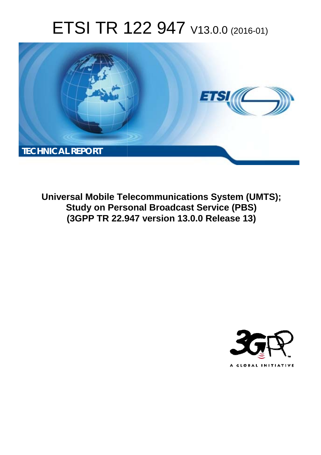# ETSI TR 122 947 V13.0.0 (2016-01)



**Universal Mobile Tel elecommunications System ( (UMTS); Study on Personal Broadcast Service (PBS) (3GPP TR 22.9 .947 version 13.0.0 Release 13 13)** 

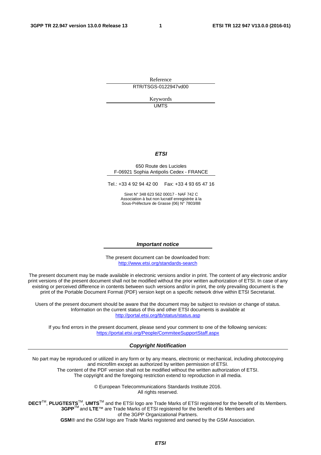Reference RTR/TSGS-0122947vd00

> Keywords UMTS

#### *ETSI*

#### 650 Route des Lucioles F-06921 Sophia Antipolis Cedex - FRANCE

Tel.: +33 4 92 94 42 00 Fax: +33 4 93 65 47 16

Siret N° 348 623 562 00017 - NAF 742 C Association à but non lucratif enregistrée à la Sous-Préfecture de Grasse (06) N° 7803/88

#### *Important notice*

The present document can be downloaded from: <http://www.etsi.org/standards-search>

The present document may be made available in electronic versions and/or in print. The content of any electronic and/or print versions of the present document shall not be modified without the prior written authorization of ETSI. In case of any existing or perceived difference in contents between such versions and/or in print, the only prevailing document is the print of the Portable Document Format (PDF) version kept on a specific network drive within ETSI Secretariat.

Users of the present document should be aware that the document may be subject to revision or change of status. Information on the current status of this and other ETSI documents is available at <http://portal.etsi.org/tb/status/status.asp>

If you find errors in the present document, please send your comment to one of the following services: <https://portal.etsi.org/People/CommiteeSupportStaff.aspx>

#### *Copyright Notification*

No part may be reproduced or utilized in any form or by any means, electronic or mechanical, including photocopying and microfilm except as authorized by written permission of ETSI.

The content of the PDF version shall not be modified without the written authorization of ETSI. The copyright and the foregoing restriction extend to reproduction in all media.

> © European Telecommunications Standards Institute 2016. All rights reserved.

**DECT**TM, **PLUGTESTS**TM, **UMTS**TM and the ETSI logo are Trade Marks of ETSI registered for the benefit of its Members. **3GPP**TM and **LTE**™ are Trade Marks of ETSI registered for the benefit of its Members and of the 3GPP Organizational Partners.

**GSM**® and the GSM logo are Trade Marks registered and owned by the GSM Association.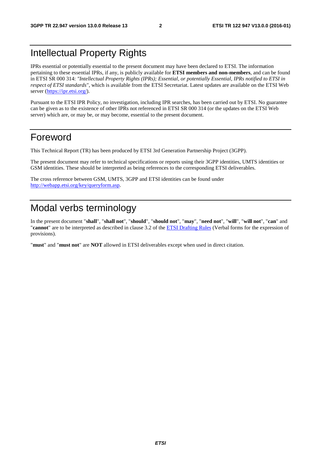### Intellectual Property Rights

IPRs essential or potentially essential to the present document may have been declared to ETSI. The information pertaining to these essential IPRs, if any, is publicly available for **ETSI members and non-members**, and can be found in ETSI SR 000 314: *"Intellectual Property Rights (IPRs); Essential, or potentially Essential, IPRs notified to ETSI in respect of ETSI standards"*, which is available from the ETSI Secretariat. Latest updates are available on the ETSI Web server [\(https://ipr.etsi.org/](https://ipr.etsi.org/)).

Pursuant to the ETSI IPR Policy, no investigation, including IPR searches, has been carried out by ETSI. No guarantee can be given as to the existence of other IPRs not referenced in ETSI SR 000 314 (or the updates on the ETSI Web server) which are, or may be, or may become, essential to the present document.

### Foreword

This Technical Report (TR) has been produced by ETSI 3rd Generation Partnership Project (3GPP).

The present document may refer to technical specifications or reports using their 3GPP identities, UMTS identities or GSM identities. These should be interpreted as being references to the corresponding ETSI deliverables.

The cross reference between GSM, UMTS, 3GPP and ETSI identities can be found under [http://webapp.etsi.org/key/queryform.asp.](http://webapp.etsi.org/key/queryform.asp)

### Modal verbs terminology

In the present document "**shall**", "**shall not**", "**should**", "**should not**", "**may**", "**need not**", "**will**", "**will not**", "**can**" and "**cannot**" are to be interpreted as described in clause 3.2 of the [ETSI Drafting Rules](http://portal.etsi.org/Help/editHelp!/Howtostart/ETSIDraftingRules.aspx) (Verbal forms for the expression of provisions).

"**must**" and "**must not**" are **NOT** allowed in ETSI deliverables except when used in direct citation.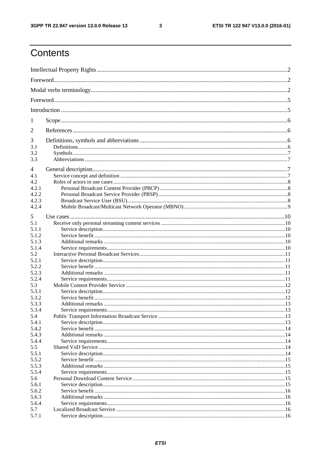$\mathbf{3}$ 

# Contents

| 1              |  |  |  |  |  |  |
|----------------|--|--|--|--|--|--|
| $\overline{2}$ |  |  |  |  |  |  |
| 3              |  |  |  |  |  |  |
| 3.1            |  |  |  |  |  |  |
| 3.2            |  |  |  |  |  |  |
| 3.3            |  |  |  |  |  |  |
| 4              |  |  |  |  |  |  |
| 4.1            |  |  |  |  |  |  |
| 4.2            |  |  |  |  |  |  |
| 4.2.1          |  |  |  |  |  |  |
| 4.2.2          |  |  |  |  |  |  |
|                |  |  |  |  |  |  |
| 4.2.3          |  |  |  |  |  |  |
| 4.2.4          |  |  |  |  |  |  |
| 5              |  |  |  |  |  |  |
| 5.1            |  |  |  |  |  |  |
|                |  |  |  |  |  |  |
| 5.1.1          |  |  |  |  |  |  |
| 5.1.2          |  |  |  |  |  |  |
| 5.1.3          |  |  |  |  |  |  |
| 5.1.4          |  |  |  |  |  |  |
| 5.2            |  |  |  |  |  |  |
| 5.2.1          |  |  |  |  |  |  |
| 5.2.2          |  |  |  |  |  |  |
| 5.2.3          |  |  |  |  |  |  |
| 5.2.4          |  |  |  |  |  |  |
| 5.3            |  |  |  |  |  |  |
| 5.3.1          |  |  |  |  |  |  |
| 5.3.2          |  |  |  |  |  |  |
| 5.3.3          |  |  |  |  |  |  |
| 5.3.4          |  |  |  |  |  |  |
| 5.4            |  |  |  |  |  |  |
| 5.4.1          |  |  |  |  |  |  |
| 5.4.2          |  |  |  |  |  |  |
|                |  |  |  |  |  |  |
| 5.4.3          |  |  |  |  |  |  |
| 5.4.4          |  |  |  |  |  |  |
| 5.5            |  |  |  |  |  |  |
| 5.5.1          |  |  |  |  |  |  |
| 5.5.2          |  |  |  |  |  |  |
| 5.5.3          |  |  |  |  |  |  |
| 5.5.4          |  |  |  |  |  |  |
| 5.6            |  |  |  |  |  |  |
| 5.6.1          |  |  |  |  |  |  |
| 5.6.2          |  |  |  |  |  |  |
| 5.6.3          |  |  |  |  |  |  |
| 5.6.4          |  |  |  |  |  |  |
| 5.7            |  |  |  |  |  |  |
| 5.7.1          |  |  |  |  |  |  |
|                |  |  |  |  |  |  |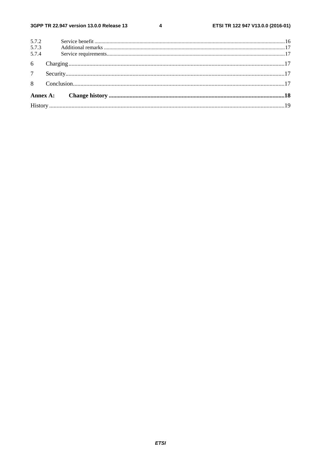$\overline{\mathbf{4}}$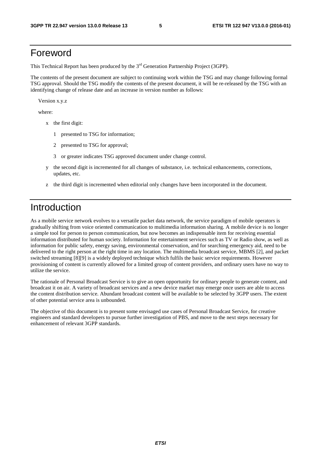### Foreword

This Technical Report has been produced by the  $3<sup>rd</sup>$  Generation Partnership Project (3GPP).

The contents of the present document are subject to continuing work within the TSG and may change following formal TSG approval. Should the TSG modify the contents of the present document, it will be re-released by the TSG with an identifying change of release date and an increase in version number as follows:

Version x.y.z

where:

- x the first digit:
	- 1 presented to TSG for information;
	- 2 presented to TSG for approval;
	- 3 or greater indicates TSG approved document under change control.
- y the second digit is incremented for all changes of substance, i.e. technical enhancements, corrections, updates, etc.
- z the third digit is incremented when editorial only changes have been incorporated in the document.

### Introduction

As a mobile service network evolves to a versatile packet data network, the service paradigm of mobile operators is gradually shifting from voice oriented communication to multimedia information sharing. A mobile device is no longer a simple tool for person to person communication, but now becomes an indispensable item for receiving essential information distributed for human society. Information for entertainment services such as TV or Radio show, as well as information for public safety, energy saving, environmental conservation, and for searching emergency aid, need to be delivered to the right person at the right time in any location. The multimedia broadcast service, MBMS [2], and packet switched streaming [8][9] is a widely deployed technique which fulfils the basic service requirements. However provisioning of content is currently allowed for a limited group of content providers, and ordinary users have no way to utilize the service.

The rationale of Personal Broadcast Service is to give an open opportunity for ordinary people to generate content, and broadcast it on air. A variety of broadcast services and a new device market may emerge once users are able to access the content distribution service. Abundant broadcast content will be available to be selected by 3GPP users. The extent of other potential service area is unbounded.

The objective of this document is to present some envisaged use cases of Personal Broadcast Service, for creative engineers and standard developers to pursue further investigation of PBS, and move to the next steps necessary for enhancement of relevant 3GPP standards.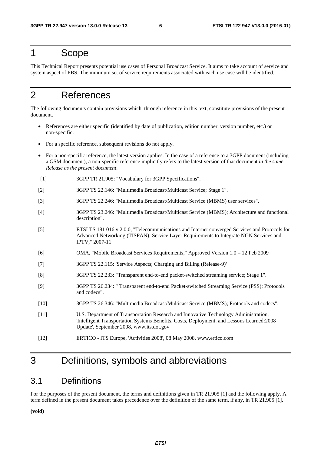### 1 Scope

This Technical Report presents potential use cases of Personal Broadcast Service. It aims to take account of service and system aspect of PBS. The minimum set of service requirements associated with each use case will be identified.

### 2 References

The following documents contain provisions which, through reference in this text, constitute provisions of the present document.

- References are either specific (identified by date of publication, edition number, version number, etc.) or non-specific.
- For a specific reference, subsequent revisions do not apply.
- For a non-specific reference, the latest version applies. In the case of a reference to a 3GPP document (including a GSM document), a non-specific reference implicitly refers to the latest version of that document *in the same Release as the present document*.
- [1] 3GPP TR 21.905: "Vocabulary for 3GPP Specifications".
- [2] 3GPP TS 22.146: "Multimedia Broadcast/Multicast Service; Stage 1".
- [3] 3GPP TS 22.246: "Multimedia Broadcast/Multicast Service (MBMS) user services".
- [4] 3GPP TS 23.246: "Multimedia Broadcast/Multicast Service (MBMS); Architecture and functional description".
- [5] ETSI TS 181 016 v.2.0.0, "Telecommunications and Internet converged Services and Protocols for Advanced Networking (TISPAN); Service Layer Requirements to Integrate NGN Services and IPTV," 2007-11
- [6] OMA, "Mobile Broadcast Services Requirements," Approved Version 1.0 12 Feb 2009
- [7] 3GPP TS 22.115: 'Service Aspects; Charging and Billing (Release-9)'
- [8] 3GPP TS 22.233: "Transparent end-to-end packet-switched streaming service; Stage 1".
- [9] 3GPP TS 26.234: " Transparent end-to-end Packet-switched Streaming Service (PSS); Protocols and codecs".
- [10] 3GPP TS 26.346: "Multimedia Broadcast/Multicast Service (MBMS); Protocols and codecs".
- [11] U.S. Department of Transportation Research and Innovative Technology Administration, 'Intelligent Transportation Systems Benefits, Costs, Deployment, and Lessons Learned:2008 Update', September 2008, www.its.dot.gov
- [12] ERTICO ITS Europe, 'Activities 2008', 08 May 2008, www.ertico.com

### 3 Definitions, symbols and abbreviations

### 3.1 Definitions

For the purposes of the present document, the terms and definitions given in TR 21.905 [1] and the following apply. A term defined in the present document takes precedence over the definition of the same term, if any, in TR 21.905 [1].

**(void)**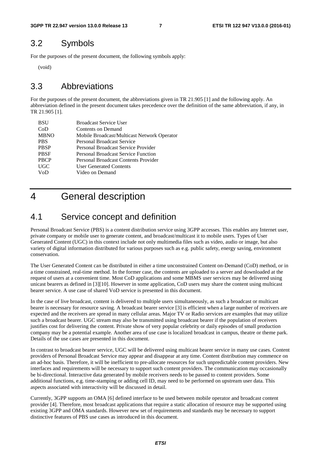### 3.2 Symbols

For the purposes of the present document, the following symbols apply:

(void)

### 3.3 Abbreviations

For the purposes of the present document, the abbreviations given in TR 21.905 [1] and the following apply. An abbreviation defined in the present document takes precedence over the definition of the same abbreviation, if any, in TR 21.905 [1].

| <b>BSU</b>  | <b>Broadcast Service User</b>               |
|-------------|---------------------------------------------|
| CoD         | Contents on Demand                          |
| <b>MBNO</b> | Mobile Broadcast/Multicast Network Operator |
| <b>PBS</b>  | <b>Personal Broadcast Service</b>           |
| <b>PBSP</b> | Personal Broadcast Service Provider         |
| <b>PBSF</b> | <b>Personal Broadcast Service Function</b>  |
| <b>PBCP</b> | Personal Broadcast Contents Provider        |
| <b>UGC</b>  | <b>User Generated Contents</b>              |
| VoD         | Video on Demand                             |
|             |                                             |

### 4 General description

### 4.1 Service concept and definition

Personal Broadcast Service (PBS) is a content distribution service using 3GPP accesses. This enables any Internet user, private company or mobile user to generate content, and broadcast/multicast it to mobile users. Types of User Generated Content (UGC) in this context include not only multimedia files such as video, audio or image, but also variety of digital information distributed for various purposes such as e.g. public safety, energy saving, environment conservation.

The User Generated Content can be distributed in either a time unconstrained Content on-Demand (CoD) method, or in a time constrained, real-time method. In the former case, the contents are uploaded to a server and downloaded at the request of users at a convenient time. Most CoD applications and some MBMS user services may be delivered using unicast bearers as defined in [3][10]. However in some application, CoD users may share the content using multicast bearer service. A use case of shared VoD service is presented in this document.

In the case of live broadcast, content is delivered to multiple users simultaneously, as such a broadcast or multicast bearer is necessary for resource saving. A broadcast bearer service [3] is efficient when a large number of receivers are expected and the receivers are spread in many cellular areas. Major TV or Radio services are examples that may utilize such a broadcast bearer. UGC stream may also be transmitted using broadcast bearer if the population of receivers justifies cost for delivering the content. Private show of very popular celebrity or daily episodes of small production company may be a potential example. Another area of use case is localized broadcast in campus, theatre or theme park. Details of the use cases are presented in this document.

In contrast to broadcast bearer service, UGC will be delivered using multicast bearer service in many use cases. Content providers of Personal Broadcast Service may appear and disappear at any time. Content distribution may commence on an ad-hoc basis. Therefore, it will be inefficient to pre-allocate resources for such unpredictable content providers. New interfaces and requirements will be necessary to support such content providers. The communication may occasionally be bi-directional. Interactive data generated by mobile receivers needs to be passed to content providers. Some additional functions, e.g. time-stamping or adding cell ID, may need to be performed on upstream user data. This aspects associated with interactivity will be discussed in detail.

Currently, 3GPP supports an OMA [6] defined interface to be used between mobile operator and broadcast content provider [4]. Therefore, most broadcast applications that require a static allocation of resource may be supported using existing 3GPP and OMA standards. However new set of requirements and standards may be necessary to support distinctive features of PBS use cases as introduced in this document.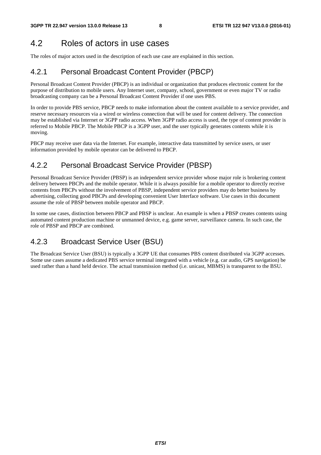### 4.2 Roles of actors in use cases

The roles of major actors used in the description of each use case are explained in this section.

### 4.2.1 Personal Broadcast Content Provider (PBCP)

Personal Broadcast Content Provider (PBCP) is an individual or organization that produces electronic content for the purpose of distribution to mobile users. Any Internet user, company, school, government or even major TV or radio broadcasting company can be a Personal Broadcast Content Provider if one uses PBS.

In order to provide PBS service, PBCP needs to make information about the content available to a service provider, and reserve necessary resources via a wired or wireless connection that will be used for content delivery. The connection may be established via Internet or 3GPP radio access. When 3GPP radio access is used, the type of content provider is referred to Mobile PBCP. The Mobile PBCP is a 3GPP user, and the user typically generates contents while it is moving.

PBCP may receive user data via the Internet. For example, interactive data transmitted by service users, or user information provided by mobile operator can be delivered to PBCP.

### 4.2.2 Personal Broadcast Service Provider (PBSP)

Personal Broadcast Service Provider (PBSP) is an independent service provider whose major role is brokering content delivery between PBCPs and the mobile operator. While it is always possible for a mobile operator to directly receive contents from PBCPs without the involvement of PBSP, independent service providers may do better business by advertising, collecting good PBCPs and developing convenient User Interface software. Use cases in this document assume the role of PBSP between mobile operator and PBCP.

In some use cases, distinction between PBCP and PBSP is unclear. An example is when a PBSP creates contents using automated content production machine or unmanned device, e.g. game server, surveillance camera. In such case, the role of PBSP and PBCP are combined.

### 4.2.3 Broadcast Service User (BSU)

The Broadcast Service User (BSU) is typically a 3GPP UE that consumes PBS content distributed via 3GPP accesses. Some use cases assume a dedicated PBS service terminal integrated with a vehicle (e.g. car audio, GPS navigation) be used rather than a hand held device. The actual transmission method (i.e. unicast, MBMS) is transparent to the BSU.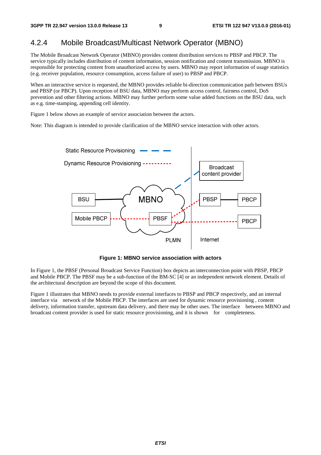### 4.2.4 Mobile Broadcast/Multicast Network Operator (MBNO)

The Mobile Broadcast Network Operator (MBNO) provides content distribution services to PBSP and PBCP. The service typically includes distribution of content information, session notification and content transmission. MBNO is responsible for protecting content from unauthorized access by users. MBNO may report information of usage statistics (e.g. receiver population, resource consumption, access failure of user) to PBSP and PBCP.

When an interactive service is requested, the MBNO provides reliable bi-direction communication path between BSUs and PBSP (or PBCP). Upon reception of BSU data, MBNO may perform access control, fairness control, DoS prevention and other filtering actions. MBNO may further perform some value added functions on the BSU data, such as e.g. time-stamping, appending cell identity.

Figure 1 below shows an example of service association between the actors.

Note: This diagram is intended to provide clarification of the MBNO service interaction with other actors.



**Figure 1: MBNO service association with actors** 

In Figure 1, the PBSF (Personal Broadcast Service Function) box depicts an interconnection point with PBSP, PBCP and Mobile PBCP. The PBSF may be a sub-function of the BM-SC [4] or an independent network element. Details of the architectural description are beyond the scope of this document.

Figure 1 illustrates that MBNO needs to provide external interfaces to PBSP and PBCP respectively, and an internal interface via network of the Mobile PBCP. The interfaces are used for dynamic resource provisioning , content delivery, information transfer, upstream data delivery, and there may be other uses. The interface between MBNO and broadcast content provider is used for static resource provisioning, and it is shown for completeness.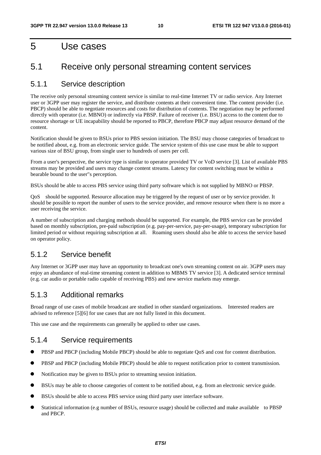### 5 Use cases

### 5.1 Receive only personal streaming content services

#### 5.1.1 Service description

The receive only personal streaming content service is similar to real-time Internet TV or radio service. Any Internet user or 3GPP user may register the service, and distribute contents at their convenient time. The content provider (i.e. PBCP) should be able to negotiate resources and costs for distribution of contents. The negotiation may be performed directly with operator (i.e. MBNO) or indirectly via PBSP. Failure of receiver (i.e. BSU) access to the content due to resource shortage or UE incapability should be reported to PBCP, therefore PBCP may adjust resource demand of the content.

Notification should be given to BSUs prior to PBS session initiation. The BSU may choose categories of broadcast to be notified about, e.g. from an electronic service guide. The service system of this use case must be able to support various size of BSU group, from single user to hundreds of users per cell.

From a user's perspective, the service type is similar to operator provided TV or VoD service [3]. List of available PBS streams may be provided and users may change content streams. Latency for content switching must be within a bearable bound to the user"s perception.

BSUs should be able to access PBS service using third party software which is not supplied by MBNO or PBSP.

QoS should be supported. Resource allocation may be triggered by the request of user or by service provider. It should be possible to report the number of users to the service provider, and remove resource when there is no more a user receiving the service.

A number of subscription and charging methods should be supported. For example, the PBS service can be provided based on monthly subscription, pre-paid subscription (e.g. pay-per-service, pay-per-usage), temporary subscription for limited period or without requiring subscription at all. Roaming users should also be able to access the service based on operator policy.

#### 5.1.2 Service benefit

Any Internet or 3GPP user may have an opportunity to broadcast one's own streaming content on air. 3GPP users may enjoy an abundance of real-time streaming content in addition to MBMS TV service [3]. A dedicated service terminal (e.g. car audio or portable radio capable of receiving PBS) and new service markets may emerge.

#### 5.1.3 Additional remarks

Broad range of use cases of mobile broadcast are studied in other standard organizations. Interested readers are advised to reference [5][6] for use cases that are not fully listed in this document.

This use case and the requirements can generally be applied to other use cases.

#### 5.1.4 Service requirements

- PBSP and PBCP (including Mobile PBCP) should be able to negotiate QoS and cost for content distribution.
- PBSP and PBCP (including Mobile PBCP) should be able to request notification prior to content transmission.
- Notification may be given to BSUs prior to streaming session initiation.
- BSUs may be able to choose categories of content to be notified about, e.g. from an electronic service guide.
- BSUs should be able to access PBS service using third party user interface software.
- Statistical information (e.g number of BSUs, resource usage) should be collected and make available to PBSP and PBCP.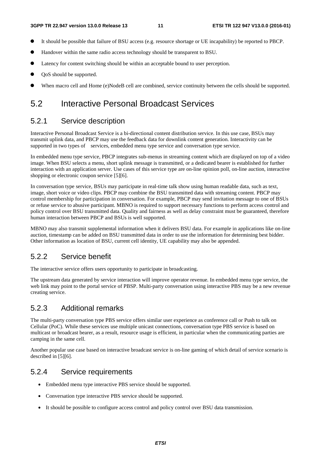- It should be possible that failure of BSU access (e.g. resource shortage or UE incapability) be reported to PBCP.
- Handover within the same radio access technology should be transparent to BSU.
- Latency for content switching should be within an acceptable bound to user perception.
- QoS should be supported.
- When macro cell and Home (e)NodeB cell are combined, service continuity between the cells should be supported.

### 5.2 Interactive Personal Broadcast Services

#### 5.2.1 Service description

Interactive Personal Broadcast Service is a bi-directional content distribution service. In this use case, BSUs may transmit uplink data, and PBCP may use the feedback data for downlink content generation. Interactivity can be supported in two types of services, embedded menu type service and conversation type service.

In embedded menu type service, PBCP integrates sub-menus in streaming content which are displayed on top of a video image. When BSU selects a menu, short uplink message is transmitted, or a dedicated bearer is established for further interaction with an application server. Use cases of this service type are on-line opinion poll, on-line auction, interactive shopping or electronic coupon service [5][6].

In conversation type service, BSUs may participate in real-time talk show using human readable data, such as text, image, short voice or video clips. PBCP may combine the BSU transmitted data with streaming content. PBCP may control membership for participation in conversation. For example, PBCP may send invitation message to one of BSUs or refuse service to abusive participant. MBNO is required to support necessary functions to perform access control and policy control over BSU transmitted data. Quality and fairness as well as delay constraint must be guaranteed, therefore human interaction between PBCP and BSUs is well supported.

MBNO may also transmit supplemental information when it delivers BSU data. For example in applications like on-line auction, timestamp can be added on BSU transmitted data in order to use the information for determining best bidder. Other information as location of BSU, current cell identity, UE capability may also be appended.

### 5.2.2 Service benefit

The interactive service offers users opportunity to participate in broadcasting.

The upstream data generated by service interaction will improve operator revenue. In embedded menu type service, the web link may point to the portal service of PBSP. Multi-party conversation using interactive PBS may be a new revenue creating service.

#### 5.2.3 Additional remarks

The multi-party conversation type PBS service offers similar user experience as conference call or Push to talk on Cellular (PoC). While these services use multiple unicast connections, conversation type PBS service is based on multicast or broadcast bearer, as a result, resource usage is efficient, in particular when the communicating parties are camping in the same cell.

Another popular use case based on interactive broadcast service is on-line gaming of which detail of service scenario is described in [5][6].

#### 5.2.4 Service requirements

- Embedded menu type interactive PBS service should be supported.
- Conversation type interactive PBS service should be supported.
- It should be possible to configure access control and policy control over BSU data transmission.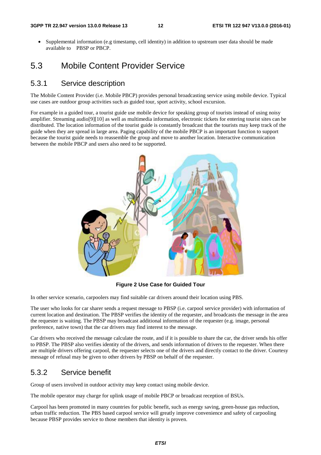• Supplemental information (e.g timestamp, cell identity) in addition to upstream user data should be made available to PBSP or PBCP.

### 5.3 Mobile Content Provider Service

#### 5.3.1 Service description

The Mobile Content Provider (i.e. Mobile PBCP) provides personal broadcasting service using mobile device. Typical use cases are outdoor group activities such as guided tour, sport activity, school excursion.

For example in a guided tour, a tourist guide use mobile device for speaking group of tourists instead of using noisy amplifier. Streaming audio[9][10] as well as multimedia information, electronic tickets for entering tourist sites can be distributed. The location information of the tourist guide is constantly broadcast that the tourists may keep track of the guide when they are spread in large area. Paging capability of the mobile PBCP is an important function to support because the tourist guide needs to reassemble the group and move to another location. Interactive communication between the mobile PBCP and users also need to be supported.



**Figure 2 Use Case for Guided Tour** 

In other service scenario, carpoolers may find suitable car drivers around their location using PBS.

The user who looks for car sharer sends a request message to PBSP (i.e. carpool service provider) with information of current location and destination. The PBSP verifies the identity of the requester, and broadcasts the message in the area the requester is waiting. The PBSP may broadcast additional information of the requester (e.g. image, personal preference, native town) that the car drivers may find interest to the message.

Car drivers who received the message calculate the route, and if it is possible to share the car, the driver sends his offer to PBSP. The PBSP also verifies identity of the drivers, and sends information of drivers to the requester. When there are multiple drivers offering carpool, the requester selects one of the drivers and directly contact to the driver. Courtesy message of refusal may be given to other drivers by PBSP on behalf of the requester.

#### 5.3.2 Service benefit

Group of users involved in outdoor activity may keep contact using mobile device.

The mobile operator may charge for uplink usage of mobile PBCP or broadcast reception of BSUs.

Carpool has been promoted in many countries for public benefit, such as energy saving, green-house gas reduction, urban traffic reduction. The PBS based carpool service will greatly improve convenience and safety of carpooling because PBSP provides service to those members that identity is proven.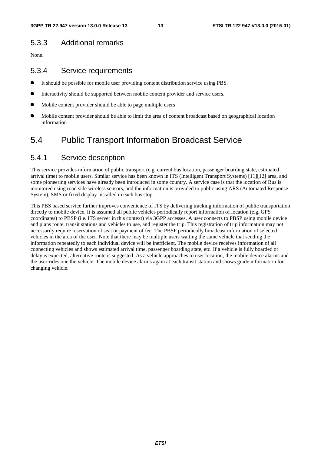### 5.3.3 Additional remarks

None.

#### 5.3.4 Service requirements

- It should be possible for mobile user providing content distribution service using PBS.
- Interactivity should be supported between mobile content provider and service users.
- Mobile content provider should be able to page multiple users
- Mobile content provider should be able to limit the area of content broadcast based on geographical location information

### 5.4 Public Transport Information Broadcast Service

### 5.4.1 Service description

This service provides information of public transport (e.g. current bus location, passenger boarding state, estimated arrival time) to mobile users. Similar service has been known in ITS (Intelligent Transport Systems) [11][12] area, and some pioneering services have already been introduced in some country. A service case is that the location of Bus is monitored using road side wireless sensors, and the information is provided to public using ARS (Automated Response System), SMS or fixed display installed in each bus stop.

This PBS based service further improves convenience of ITS by delivering tracking information of public transportation directly to mobile device. It is assumed all public vehicles periodically report information of location (e.g. GPS coordinates) to PBSP (i.e. ITS server in this context) via 3GPP accesses. A user connects to PBSP using mobile device and plans route, transit stations and vehicles to use, and register the trip. This registration of trip information may not necessarily require reservation of seat or payment of fee. The PBSP periodically broadcast information of selected vehicles in the area of the user. Note that there may be multiple users waiting the same vehicle that sending the information repeatedly to each individual device will be inefficient. The mobile device receives information of all connecting vehicles and shows estimated arrival time, passenger boarding state, etc. If a vehicle is fully boarded or delay is expected, alternative route is suggested. As a vehicle approaches to user location, the mobile device alarms and the user rides one the vehicle. The mobile device alarms again at each transit station and shows guide information for changing vehicle.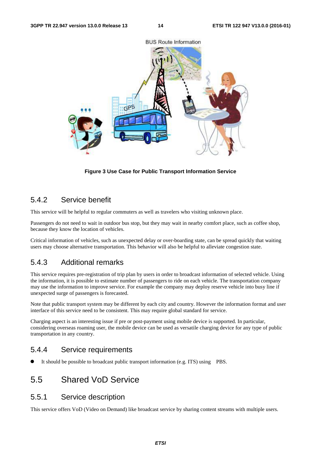

**Figure 3 Use Case for Public Transport Information Service** 

### 5.4.2 Service benefit

This service will be helpful to regular commuters as well as travelers who visiting unknown place.

Passengers do not need to wait in outdoor bus stop, but they may wait in nearby comfort place, such as coffee shop, because they know the location of vehicles.

Critical information of vehicles, such as unexpected delay or over-boarding state, can be spread quickly that waiting users may choose alternative transportation. This behavior will also be helpful to alleviate congestion state.

#### 5.4.3 Additional remarks

This service requires pre-registration of trip plan by users in order to broadcast information of selected vehicle. Using the information, it is possible to estimate number of passengers to ride on each vehicle. The transportation company may use the information to improve service. For example the company may deploy reserve vehicle into busy line if unexpected surge of passengers is forecasted.

Note that public transport system may be different by each city and country. However the information format and user interface of this service need to be consistent. This may require global standard for service.

Charging aspect is an interesting issue if pre or post-payment using mobile device is supported. In particular, considering overseas roaming user, the mobile device can be used as versatile charging device for any type of public transportation in any country.

#### 5.4.4 Service requirements

It should be possible to broadcast public transport information (e.g. ITS) using PBS.

### 5.5 Shared VoD Service

#### 5.5.1 Service description

This service offers VoD (Video on Demand) like broadcast service by sharing content streams with multiple users.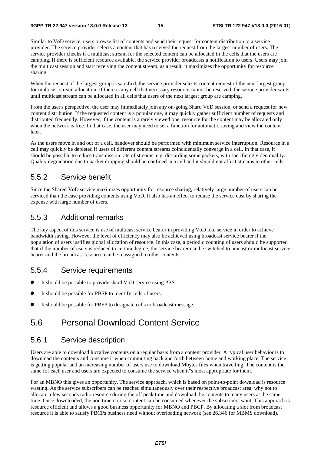Similar to VoD service, users browse list of contents and send their request for content distribution to a service provider. The service provider selects a content that has received the request from the largest number of users. The service provider checks if a multicast stream for the selected content can be allocated in the cells that the users are camping. If there is sufficient resource available, the service provider broadcasts a notification to users. Users may join the multicast session and start receiving the content stream, as a result, it maximizes the opportunity for resource sharing.

When the request of the largest group is satisfied, the service provider selects content request of the next largest group for multicast stream allocation. If there is any cell that necessary resource cannot be reserved, the service provider waits until multicast stream can be allocated in all cells that users of the next largest group are camping.

From the user's perspective, the user may immediately join any on-going Shard VoD session, or send a request for new content distribution. If the requested content is a popular one, it may quickly gather sufficient number of requests and distributed frequently. However, if the content is a rarely viewed one, resource for the content may be allocated only when the network is free. In that case, the user may need to set a function for automatic saving and view the content later.

As the users move in and out of a cell, handover should be performed with minimum service interruption. Resource in a cell may quickly be depleted if users of different content streams coincidentally converge in a cell. In that case, it should be possible to reduce transmission rate of streams, e.g. discarding some packets, with sacrificing video quality. Quality degradation due to packet dropping should be confined in a cell and it should not affect streams in other cells.

#### 5.5.2 Service benefit

Since the Shared VoD service maximizes opportunity for resource sharing, relatively large number of users can be serviced than the case providing contents using VoD. It also has an effect to reduce the service cost by sharing the expense with large number of users.

#### 5.5.3 Additional remarks

The key aspect of this service is use of multicast service bearer in providing VoD like service in order to achieve bandwidth saving. However the level of efficiency may also be achieved using broadcast service bearer if the population of users justifies global allocation of resource. In this case, a periodic counting of users should be supported that if the number of users is reduced to certain degree, the service bearer can be switched to unicast or multicast service bearer and the broadcast resource can be reassigned to other contents.

### 5.5.4 Service requirements

- It should be possible to provide shard VoD service using PBS.
- It should be possible for PBSP to identify cells of users.
- It should be possible for PBSP to designate cells to broadcast message.

### 5.6 Personal Download Content Service

#### 5.6.1 Service description

Users are able to download lucrative contents on a regular basis from a content provider. A typical user behavior is to download the contents and consume it when commuting back and forth between home and working place. The service is getting popular and an increasing number of users use to download Mbytes files when travelling. The content is the same for each user and users are expected to consume the service when it"s most appropriate for them.

For an MBNO this gives an opportunity. The service approach, which is based on point-to-point download is resource wasting. As the service subscribers can be reached simultaneously over their respective broadcast area, why not to allocate a few seconds radio resource during the off peak time and download the contents to many users at the same time. Once downloaded, the non time critical content can be consumed whenever the subscribers want. This approach is resource efficient and allows a good business opportunity for MBNO and PBCP. By allocating a slot from broadcast resource it is able to satisfy PBCPs business need without overloading network (see 26.346 for MBMS download).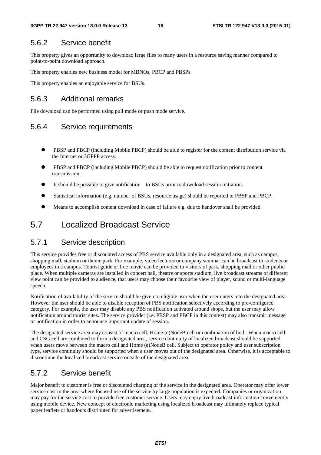### 5.6.2 Service benefit

This property gives an opportunity to download large files to many users in a resource saving manner compared to point-to-point download approach.

This property enables new business model for MBNOs, PBCP and PBSPs.

This property enables an enjoyable service for BSUs.

### 5.6.3 Additional remarks

File download can be performed using pull mode or push mode service.

### 5.6.4 Service requirements

- PBSP and PBCP (including Mobile PBCP) should be able to register for the content distribution service via the Internet or 3GPPP access.
- PBSP and PBCP (including Mobile PBCP) should be able to request notification prior to content transmission.
- It should be possible to give notification to BSUs prior to download session initiation.
- Statistical information (e.g. number of BSUs, resource usage) should be reported to PBSP and PBCP.
- Means to accomplish content download in case of failure e.g. due to handover shall be provided

### 5.7 Localized Broadcast Service

#### 5.7.1 Service description

This service provides free or discounted access of PBS service available only in a designated area, such as campus, shopping mall, stadium or theme park. For example, video lectures or company seminar can be broadcast to students or employees in a campus. Tourist guide or free movie can be provided to visitors of park, shopping mall or other public place. When multiple cameras are installed in concert hall, theatre or sports stadium, live broadcast streams of different view point can be provided to audience, that users may choose their favourite view of player, sound or multi-language speech.

Notification of availability of the service should be given to eligible user when the user enters into the designated area. However the user should be able to disable reception of PBS notification selectively according to pre-configured category. For example, the user may disable any PBS notification activated around shops, but the user may allow notification around tourist sites. The service provider (i.e. PBSP and PBCP in this context) may also transmit message or notification in order to announce important update of session.

The designated service area may consist of macro cell, Home (e)NodeB cell or combination of both. When macro cell and CSG cell are combined to form a designated area, service continuity of localized broadcast should be supported when users move between the macro cell and Home (e)NodeB cell. Subject to operator policy and user subscription type, service continuity should be supported when a user moves out of the designated area. Otherwise, it is acceptable to discontinue the localized broadcast service outside of the designated area.

### 5.7.2 Service benefit

Major benefit to customer is free or discounted charging of the service in the designated area. Operator may offer lower service cost in the area where focused use of the service by large population is expected. Companies or organization may pay for the service cost to provide free customer service. Users may enjoy live broadcast information conveniently using mobile device. New concept of electronic marketing using localized broadcast may ultimately replace typical paper leaflets or handouts distributed for advertisement.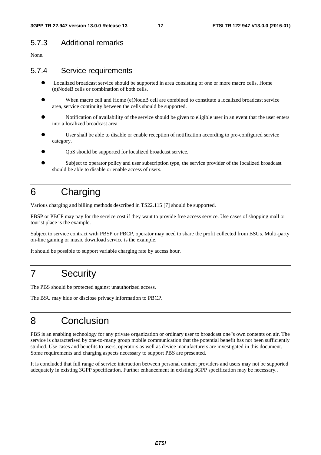### 5.7.3 Additional remarks

None.

#### 5.7.4 Service requirements

- Localized broadcast service should be supported in area consisting of one or more macro cells, Home (e)NodeB cells or combination of both cells.
- When macro cell and Home (e)NodeB cell are combined to constitute a localized broadcast service area, service continuity between the cells should be supported.
- Notification of availability of the service should be given to eligible user in an event that the user enters into a localized broadcast area.
- User shall be able to disable or enable reception of notification according to pre-configured service category.
- QoS should be supported for localized broadcast service.
- Subject to operator policy and user subscription type, the service provider of the localized broadcast should be able to disable or enable access of users.

# 6 Charging

Various charging and billing methods described in TS22.115 [7] should be supported.

PBSP or PBCP may pay for the service cost if they want to provide free access service. Use cases of shopping mall or tourist place is the example.

Subject to service contract with PBSP or PBCP, operator may need to share the profit collected from BSUs. Multi-party on-line gaming or music download service is the example.

It should be possible to support variable charging rate by access hour.

## 7 Security

The PBS should be protected against unauthorized access.

The BSU may hide or disclose privacy information to PBCP.

### 8 Conclusion

PBS is an enabling technology for any private organization or ordinary user to broadcast one"s own contents on air. The service is characterised by one-to-many group mobile communication that the potential benefit has not been sufficiently studied. Use cases and benefits to users, operators as well as device manufacturers are investigated in this document. Some requirements and charging aspects necessary to support PBS are presented.

It is concluded that full range of service interaction between personal content providers and users may not be supported adequately in existing 3GPP specification. Further enhancement in existing 3GPP specification may be necessary..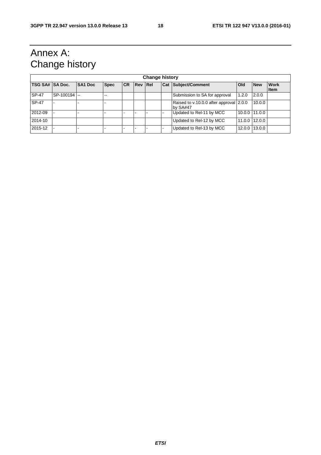# Annex A: Change history

|                 | <b>Change history</b> |                |             |           |                |  |  |                                                     |               |            |                             |
|-----------------|-----------------------|----------------|-------------|-----------|----------------|--|--|-----------------------------------------------------|---------------|------------|-----------------------------|
| TSG SA# SA Doc. |                       | <b>SA1 Doc</b> | <b>Spec</b> | <b>CR</b> | <b>Rev Rel</b> |  |  | <b>Cat Subject/Comment</b>                          | <b>Old</b>    | <b>New</b> | <b>Work</b><br><b>I</b> tem |
| SP-47           | SP-100194 --          |                | --          |           |                |  |  | Submission to SA for approval                       | 1.2.0         | 2.0.0      |                             |
| <b>SP-47</b>    |                       |                |             |           |                |  |  | Raised to v.10.0.0 after approval 2.0.0<br>by SA#47 |               | 10.0.0     |                             |
| 2012-09         |                       |                |             |           |                |  |  | Updated to Rel-11 by MCC                            | 10.0.0 11.0.0 |            |                             |
| 2014-10         |                       |                |             |           |                |  |  | Updated to Rel-12 by MCC                            | 11.0.0 12.0.0 |            |                             |
| 2015-12         |                       |                |             |           |                |  |  | Updated to Rel-13 by MCC                            | 12.0.0 13.0.0 |            |                             |